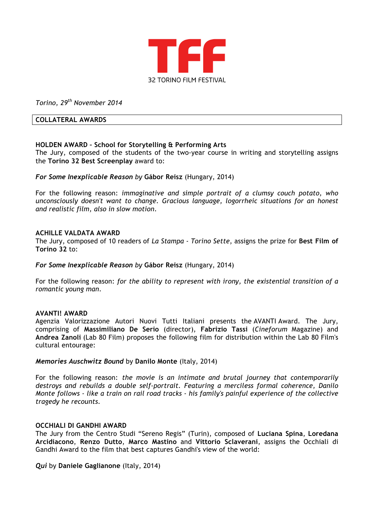

*Torino, 29th November 2014*

## **COLLATERAL AWARDS**

# **HOLDEN AWARD – School for Storytelling & Performing Arts**

The Jury, composed of the students of the two-year course in writing and storytelling assigns the **Torino 32 Best Screenplay** award to:

*For Some Inexplicable Reason by* **Gábor Reisz** (Hungary, 2014)

For the following reason: *immaginative and simple portrait of a clumsy couch potato, who unconsciously doesn't want to change. Gracious language, logorrheic situations for an honest and realistic film, also in slow motion*.

# **ACHILLE VALDATA AWARD**

The Jury, composed of 10 readers of *La Stampa - Torino Sette*, assigns the prize for **Best Film of Torino 32** to:

*For Some Inexplicable Reason by* **Gábor Reisz** (Hungary, 2014)

For the following reason: *for the ability to represent with irony, the existential transition of a romantic young man*.

## **AVANTI! AWARD**

Agenzia Valorizzazione Autori Nuovi Tutti Italiani presents the AVANTI Award. The Jury, comprising of **Massimiliano De Serio** (director), **Fabrizio Tassi** (*Cineforum* Magazine) and **Andrea Zanoli** (Lab 80 Film) proposes the following film for distribution within the Lab 80 Film's cultural entourage:

#### *Memories Auschwitz Bound* by **Danilo Monte** (Italy, 2014)

For the following reason: *the movie is an intimate and brutal journey that contemporarily destroys and rebuilds a double self-portrait. Featuring a merciless formal coherence, Danilo Monte follows - like a train on rail road tracks - his family's painful experience of the collective tragedy he recounts.*

#### **OCCHIALI DI GANDHI AWARD**

The Jury from the Centro Studi "Sereno Regis" (Turin), composed of **Luciana Spina**, **Loredana Arcidiacono**, **Renzo Dutto**, **Marco Mastino** and **Vittorio Sclaverani**, assigns the Occhiali di Gandhi Award to the film that best captures Gandhi's view of the world:

*Qui* by **Daniele Gaglianone** (Italy, 2014)